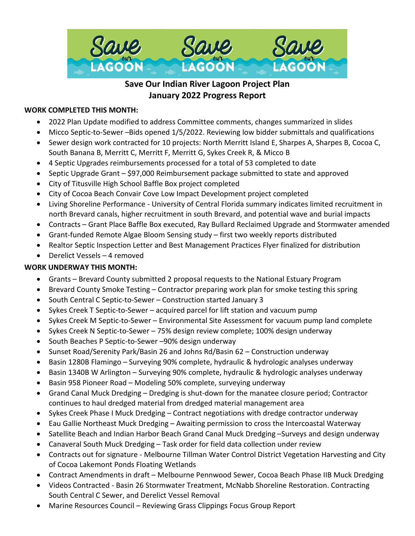

# **Save Our Indian River Lagoon Project Plan January 2022 Progress Report**

#### **WORK COMPLETED THIS MONTH:**

- 2022 Plan Update modified to address Committee comments, changes summarized in slides
- Micco Septic-to-Sewer –Bids opened 1/5/2022. Reviewing low bidder submittals and qualifications
- Sewer design work contracted for 10 projects: North Merritt Island E, Sharpes A, Sharpes B, Cocoa C, South Banana B, Merritt C, Merritt F, Merritt G, Sykes Creek R, & Micco B
- 4 Septic Upgrades reimbursements processed for a total of 53 completed to date
- Septic Upgrade Grant \$97,000 Reimbursement package submitted to state and approved
- City of Titusville High School Baffle Box project completed
- City of Cocoa Beach Convair Cove Low Impact Development project completed
- Living Shoreline Performance University of Central Florida summary indicates limited recruitment in north Brevard canals, higher recruitment in south Brevard, and potential wave and burial impacts
- Contracts Grant Place Baffle Box executed, Ray Bullard Reclaimed Upgrade and Stormwater amended
- Grant-funded Remote Algae Bloom Sensing study first two weekly reports distributed
- Realtor Septic Inspection Letter and Best Management Practices Flyer finalized for distribution
- Derelict Vessels 4 removed

### **WORK UNDERWAY THIS MONTH:**

- Grants Brevard County submitted 2 proposal requests to the National Estuary Program
- Brevard County Smoke Testing Contractor preparing work plan for smoke testing this spring
- South Central C Septic-to-Sewer Construction started January 3
- Sykes Creek T Septic-to-Sewer acquired parcel for lift station and vacuum pump
- Sykes Creek M Septic-to-Sewer Environmental Site Assessment for vacuum pump land complete
- Sykes Creek N Septic-to-Sewer 75% design review complete; 100% design underway
- South Beaches P Septic-to-Sewer –90% design underway
- Sunset Road/Serenity Park/Basin 26 and Johns Rd/Basin 62 Construction underway
- Basin 1280B Flamingo Surveying 90% complete, hydraulic & hydrologic analyses underway
- Basin 1340B W Arlington Surveying 90% complete, hydraulic & hydrologic analyses underway
- Basin 958 Pioneer Road Modeling 50% complete, surveying underway
- Grand Canal Muck Dredging Dredging is shut-down for the manatee closure period; Contractor continues to haul dredged material from dredged material management area
- Sykes Creek Phase I Muck Dredging Contract negotiations with dredge contractor underway
- Eau Gallie Northeast Muck Dredging Awaiting permission to cross the Intercoastal Waterway
- Satellite Beach and Indian Harbor Beach Grand Canal Muck Dredging -Surveys and design underway
- Canaveral South Muck Dredging Task order for field data collection under review
- Contracts out for signature Melbourne Tillman Water Control District Vegetation Harvesting and City of Cocoa Lakemont Ponds Floating Wetlands
- Contract Amendments in draft Melbourne Pennwood Sewer, Cocoa Beach Phase IIB Muck Dredging
- Videos Contracted Basin 26 Stormwater Treatment, McNabb Shoreline Restoration. Contracting South Central C Sewer, and Derelict Vessel Removal
- Marine Resources Council Reviewing Grass Clippings Focus Group Report